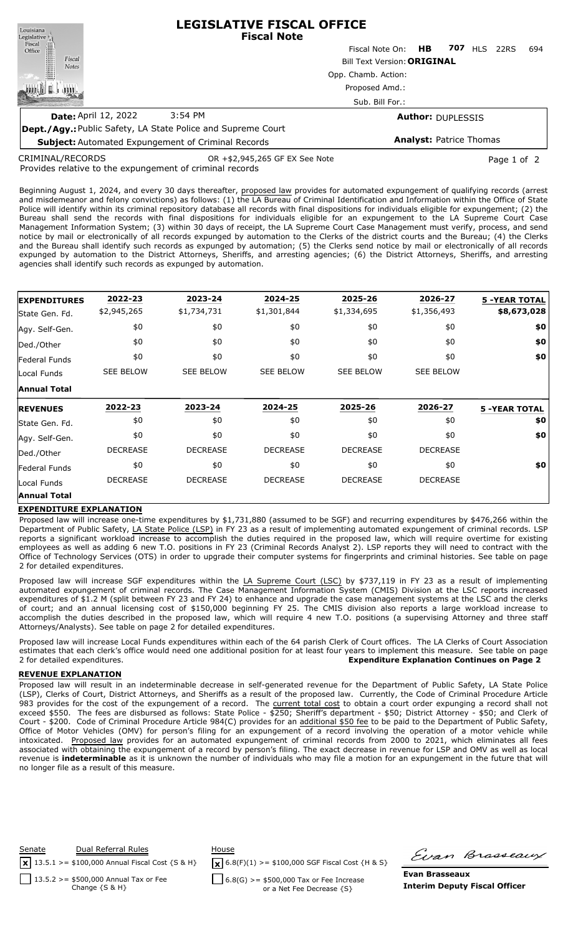**LEGISLATIVE FISCAL OFFICE** Louisiana **Fiscal Note** Legislative <sub>II</sub> Fiscal ∰ Fiscal Note On: **HB 707** HLS 22RS 694 Office Fiscal Bill Text Version:**ORIGINAL Notes** Opp. Chamb. Action: 咖啡山 Proposed Amd.: **ATTIT** Sub. Bill For.: **Date:** April 12, 2022 3:54 PM **Author:** DUPLESSIS **Dept./Agy.:** Public Safety, LA State Police and Supreme Court

**Subject:** Automated Expungement of Criminal Records **Analyst:** Patrice Thomas

CRIMINAL/RECORDS

OR +\$2,945,265 GF EX See Note Page 1 of 2

Provides relative to the expungement of criminal records

Beginning August 1, 2024, and every 30 days thereafter, proposed law provides for automated expungement of qualifying records (arrest and misdemeanor and felony convictions) as follows: (1) the LA Bureau of Criminal Identification and Information within the Office of State Police will identify within its criminal repository database all records with final dispositions for individuals eligible for expungement; (2) the Bureau shall send the records with final dispositions for individuals eligible for an expungement to the LA Supreme Court Case Management Information System; (3) within 30 days of receipt, the LA Supreme Court Case Management must verify, process, and send notice by mail or electronically of all records expunged by automation to the Clerks of the district courts and the Bureau; (4) the Clerks and the Bureau shall identify such records as expunged by automation; (5) the Clerks send notice by mail or electronically of all records expunged by automation to the District Attorneys, Sheriffs, and arresting agencies; (6) the District Attorneys, Sheriffs, and arresting agencies shall identify such records as expunged by automation.

| <b>EXPENDITURES</b>  | 2022-23          | 2023-24          | 2024-25          | 2025-26          | 2026-27          | <b>5 -YEAR TOTAL</b> |
|----------------------|------------------|------------------|------------------|------------------|------------------|----------------------|
| State Gen. Fd.       | \$2,945,265      | \$1,734,731      | \$1,301,844      | \$1,334,695      | \$1,356,493      | \$8,673,028          |
| Agy. Self-Gen.       | \$0              | \$0              | \$0              | \$0              | \$0              | \$0                  |
| Ded./Other           | \$0              | \$0              | \$0              | \$0              | \$0              | \$0                  |
| <b>Federal Funds</b> | \$0              | \$0              | \$0              | \$0              | \$0              | \$0                  |
| Local Funds          | <b>SEE BELOW</b> | <b>SEE BELOW</b> | <b>SEE BELOW</b> | <b>SEE BELOW</b> | <b>SEE BELOW</b> |                      |
| <b>Annual Total</b>  |                  |                  |                  |                  |                  |                      |
| <b>REVENUES</b>      | 2022-23          | 2023-24          | 2024-25          | 2025-26          | 2026-27          | <b>5 -YEAR TOTAL</b> |
| State Gen. Fd.       | \$0              | \$0              | \$0              | \$0              | \$0              | \$0                  |
| Agy. Self-Gen.       | \$0              | \$0              | \$0              | \$0              | \$0              | \$0                  |
| Ded./Other           | <b>DECREASE</b>  | <b>DECREASE</b>  | <b>DECREASE</b>  | <b>DECREASE</b>  | <b>DECREASE</b>  |                      |
| <b>Federal Funds</b> | \$0              | \$0              | \$0              | \$0              | \$0              | \$0                  |
| Local Funds          | <b>DECREASE</b>  | <b>DECREASE</b>  | <b>DECREASE</b>  | <b>DECREASE</b>  | <b>DECREASE</b>  |                      |
|                      |                  |                  |                  |                  |                  |                      |

## **EXPENDITURE EXPLANATION**

Proposed law will increase one-time expenditures by \$1,731,880 (assumed to be SGF) and recurring expenditures by \$476,266 within the Department of Public Safety, LA State Police (LSP) in FY 23 as a result of implementing automated expungement of criminal records. LSP reports a significant workload increase to accomplish the duties required in the proposed law, which will require overtime for existing employees as well as adding 6 new T.O. positions in FY 23 (Criminal Records Analyst 2). LSP reports they will need to contract with the Office of Technology Services (OTS) in order to upgrade their computer systems for fingerprints and criminal histories. See table on page 2 for detailed expenditures.

Proposed law will increase SGF expenditures within the LA Supreme Court (LSC) by \$737,119 in FY 23 as a result of implementing automated expungement of criminal records. The Case Management Information System (CMIS) Division at the LSC reports increased expenditures of \$1.2 M (split between FY 23 and FY 24) to enhance and upgrade the case management systems at the LSC and the clerks of court; and an annual licensing cost of \$150,000 beginning FY 25. The CMIS division also reports a large workload increase to accomplish the duties described in the proposed law, which will require 4 new T.O. positions (a supervising Attorney and three staff Attorneys/Analysts). See table on page 2 for detailed expenditures.

Proposed law will increase Local Funds expenditures within each of the 64 parish Clerk of Court offices. The LA Clerks of Court Association estimates that each clerk's office would need one additional position for at least four years to implement this measure. See table on page 2 for detailed expenditures. **Expenditure Explanation Continues on Page 2**

## **REVENUE EXPLANATION**

Proposed law will result in an indeterminable decrease in self-generated revenue for the Department of Public Safety, LA State Police (LSP), Clerks of Court, District Attorneys, and Sheriffs as a result of the proposed law. Currently, the Code of Criminal Procedure Article 983 provides for the cost of the expungement of a record. The current total cost to obtain a court order expunging a record shall not exceed \$550. The fees are disbursed as follows: State Police - \$250; Sheriff's department - \$50; District Attorney - \$50; and Clerk of Court - \$200. Code of Criminal Procedure Article 984(C) provides for an additional \$50 fee to be paid to the Department of Public Safety, Office of Motor Vehicles (OMV) for person's filing for an expungement of a record involving the operation of a motor vehicle while intoxicated. Proposed law provides for an automated expungement of criminal records from 2000 to 2021, which eliminates all fees associated with obtaining the expungement of a record by person's filing. The exact decrease in revenue for LSP and OMV as well as local revenue is **indeterminable** as it is unknown the number of individuals who may file a motion for an expungement in the future that will no longer file as a result of this measure.



Firan Brasseaux

**Evan Brasseaux Interim Deputy Fiscal Officer**